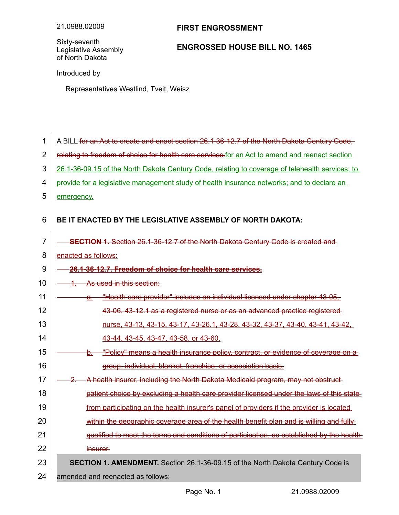## **FIRST ENGROSSMENT**

Sixty-seventh Legislative Assembly of North Dakota

## **ENGROSSED HOUSE BILL NO. 1465**

Introduced by

Representatives Westlind, Tveit, Weisz

- A BILL for an Act to create and enact section 26.1-36-12.7 of the North Dakota Century Code, 1
- relating to freedom of choice for health care services for an Act to amend and reenact section 2
- 26.1-36-09.15 of the North Dakota Century Code, relating to coverage of telehealth services; to 3
- provide for a legislative management study of health insurance networks; and to declare an 4
- emergency. 5

## **BE IT ENACTED BY THE LEGISLATIVE ASSEMBLY OF NORTH DAKOTA:** 6

**SECTION 1.** Section 26.1-36-12.7 of the North Dakota Century Code is created and enacted as follows:  **26.1 - 36 - 12.7. Freedom of choice for health care services.** As used in this section: a. "Health care provider" includes an individual licensed under chapter 43-05. 43-06, 43-12.1 as a registered nurse or as an advanced practice registerednurse, 43-13, 43-15, 43-17, 43-26.1, 43-28, 43-32, 43-37, 43-40, 43-41, 43-42, 43-44, 43-45, 43-47, 43-58, or 43-60. b. "Policy" means a health insurance policy, contract, or evidence of coverage on a group, individual, blanket, franchise, or association basis. 2. A health insurer, including the North Dakota Medicaid program, may not obstruct patient choice by excluding a health care provider licensed under the laws of this state from participating on the health insurer's panel of providers if the provider is located within the geographic coverage area of the health benefit plan and is willing and fully qualified to meet the terms and conditions of participation, as established by the health insurer. **SECTION 1. AMENDMENT.** Section 26.1-36-09.15 of the North Dakota Century Code is amended and reenacted as follows: 7 8 9 10 11 12 13 14 15 16 17 18 19 20 21 22 23 24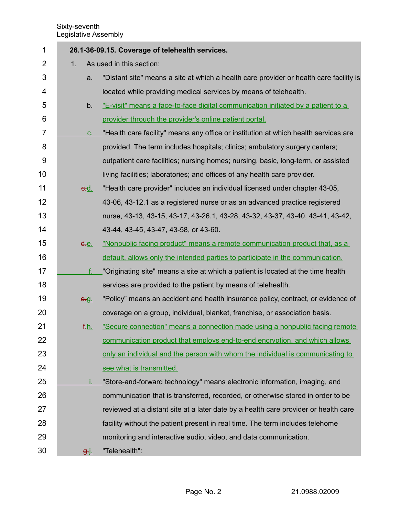| 1              | 26.1-36-09.15. Coverage of telehealth services. |                                                                                        |  |
|----------------|-------------------------------------------------|----------------------------------------------------------------------------------------|--|
| $\overline{2}$ | As used in this section:<br>1.                  |                                                                                        |  |
| 3              | a.                                              | "Distant site" means a site at which a health care provider or health care facility is |  |
| 4              |                                                 | located while providing medical services by means of telehealth.                       |  |
| 5              | b.                                              | "E-visit" means a face-to-face digital communication initiated by a patient to a       |  |
| 6              |                                                 | provider through the provider's online patient portal.                                 |  |
| 7              | C.                                              | "Health care facility" means any office or institution at which health services are    |  |
| 8              |                                                 | provided. The term includes hospitals; clinics; ambulatory surgery centers;            |  |
| 9              |                                                 | outpatient care facilities; nursing homes; nursing, basic, long-term, or assisted      |  |
| 10             |                                                 | living facilities; laboratories; and offices of any health care provider.              |  |
| 11             | e.d.                                            | "Health care provider" includes an individual licensed under chapter 43-05,            |  |
| 12             |                                                 | 43-06, 43-12.1 as a registered nurse or as an advanced practice registered             |  |
| 13             |                                                 | nurse, 43-13, 43-15, 43-17, 43-26.1, 43-28, 43-32, 43-37, 43-40, 43-41, 43-42,         |  |
| 14             |                                                 | 43-44, 43-45, 43-47, 43-58, or 43-60.                                                  |  |
| 15             | <del>d.</del> e.                                | "Nonpublic facing product" means a remote communication product that, as a             |  |
| 16             |                                                 | default, allows only the intended parties to participate in the communication.         |  |
| 17             | f.                                              | "Originating site" means a site at which a patient is located at the time health       |  |
| 18             |                                                 | services are provided to the patient by means of telehealth.                           |  |
| 19             | e.g.                                            | "Policy" means an accident and health insurance policy, contract, or evidence of       |  |
| 20             |                                                 | coverage on a group, individual, blanket, franchise, or association basis.             |  |
| 21             | <u>f.h.</u>                                     | "Secure connection" means a connection made using a nonpublic facing remote            |  |
| 22             |                                                 | communication product that employs end-to-end encryption, and which allows             |  |
| 23             |                                                 | only an individual and the person with whom the individual is communicating to         |  |
| 24             |                                                 | see what is transmitted.                                                               |  |
| 25             |                                                 | "Store-and-forward technology" means electronic information, imaging, and              |  |
| 26             |                                                 | communication that is transferred, recorded, or otherwise stored in order to be        |  |
| 27             |                                                 | reviewed at a distant site at a later date by a health care provider or health care    |  |
| 28             |                                                 | facility without the patient present in real time. The term includes telehome          |  |
| 29             |                                                 | monitoring and interactive audio, video, and data communication.                       |  |
| 30             | g-j.                                            | "Telehealth":                                                                          |  |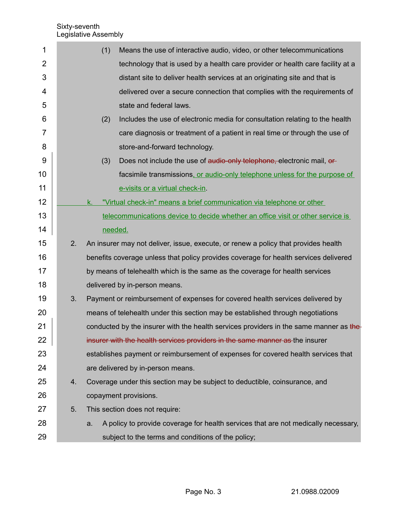| 1              |    | (1)<br>Means the use of interactive audio, video, or other telecommunications            |
|----------------|----|------------------------------------------------------------------------------------------|
| $\overline{2}$ |    | technology that is used by a health care provider or health care facility at a           |
| 3              |    | distant site to deliver health services at an originating site and that is               |
| 4              |    | delivered over a secure connection that complies with the requirements of                |
| 5              |    | state and federal laws.                                                                  |
| 6              |    | Includes the use of electronic media for consultation relating to the health<br>(2)      |
| 7              |    | care diagnosis or treatment of a patient in real time or through the use of              |
| 8              |    | store-and-forward technology.                                                            |
| 9              |    | (3)<br>Does not include the use of audio-only telephone, electronic mail, or-            |
| 10             |    | facsimile transmissions, or audio-only telephone unless for the purpose of               |
| 11             |    | e-visits or a virtual check-in.                                                          |
| 12             |    | "Virtual check-in" means a brief communication via telephone or other<br>k.              |
| 13             |    | telecommunications device to decide whether an office visit or other service is          |
| 14             |    | needed.                                                                                  |
| 15             | 2. | An insurer may not deliver, issue, execute, or renew a policy that provides health       |
| 16             |    | benefits coverage unless that policy provides coverage for health services delivered     |
| 17             |    | by means of telehealth which is the same as the coverage for health services             |
| 18             |    | delivered by in-person means.                                                            |
| 19             | 3. | Payment or reimbursement of expenses for covered health services delivered by            |
| 20             |    | means of telehealth under this section may be established through negotiations           |
| 21             |    | conducted by the insurer with the health services providers in the same manner as the    |
| 22             |    | insurer with the health services providers in the same manner as the insurer             |
| 23             |    | establishes payment or reimbursement of expenses for covered health services that        |
| 24             |    | are delivered by in-person means.                                                        |
| 25             | 4. | Coverage under this section may be subject to deductible, coinsurance, and               |
| 26             |    | copayment provisions.                                                                    |
| 27             | 5. | This section does not require:                                                           |
| 28             |    | A policy to provide coverage for health services that are not medically necessary,<br>a. |
| 29             |    | subject to the terms and conditions of the policy;                                       |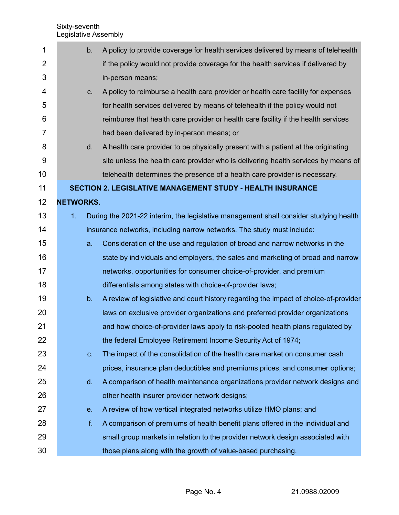| 1              |                  | b.             | A policy to provide coverage for health services delivered by means of telehealth     |
|----------------|------------------|----------------|---------------------------------------------------------------------------------------|
| $\overline{2}$ |                  |                | if the policy would not provide coverage for the health services if delivered by      |
| 3              |                  |                | in-person means;                                                                      |
| 4              |                  | C.             | A policy to reimburse a health care provider or health care facility for expenses     |
| 5              |                  |                | for health services delivered by means of telehealth if the policy would not          |
| 6              |                  |                | reimburse that health care provider or health care facility if the health services    |
| 7              |                  |                | had been delivered by in-person means; or                                             |
| 8              |                  | d.             | A health care provider to be physically present with a patient at the originating     |
| $9$            |                  |                | site unless the health care provider who is delivering health services by means of    |
| 10             |                  |                | telehealth determines the presence of a health care provider is necessary.            |
| 11             |                  |                | <b>SECTION 2. LEGISLATIVE MANAGEMENT STUDY - HEALTH INSURANCE</b>                     |
| 12             | <b>NETWORKS.</b> |                |                                                                                       |
| 13             | 1.               |                | During the 2021-22 interim, the legislative management shall consider studying health |
| 14             |                  |                | insurance networks, including narrow networks. The study must include:                |
| 15             |                  | a.             | Consideration of the use and regulation of broad and narrow networks in the           |
| 16             |                  |                | state by individuals and employers, the sales and marketing of broad and narrow       |
| 17             |                  |                | networks, opportunities for consumer choice-of-provider, and premium                  |
| 18             |                  |                | differentials among states with choice-of-provider laws;                              |
| 19             |                  | b.             | A review of legislative and court history regarding the impact of choice-of-provider  |
| 20             |                  |                | laws on exclusive provider organizations and preferred provider organizations         |
| 21             |                  |                | and how choice-of-provider laws apply to risk-pooled health plans regulated by        |
| 22             |                  |                | the federal Employee Retirement Income Security Act of 1974;                          |
| 23             |                  | C <sub>1</sub> | The impact of the consolidation of the health care market on consumer cash            |
| 24             |                  |                | prices, insurance plan deductibles and premiums prices, and consumer options;         |
| 25             |                  | d.             | A comparison of health maintenance organizations provider network designs and         |
| 26             |                  |                | other health insurer provider network designs;                                        |
| 27             |                  | e.             | A review of how vertical integrated networks utilize HMO plans; and                   |
| 28             |                  | f.             | A comparison of premiums of health benefit plans offered in the individual and        |
| 29             |                  |                | small group markets in relation to the provider network design associated with        |
| 30             |                  |                | those plans along with the growth of value-based purchasing.                          |